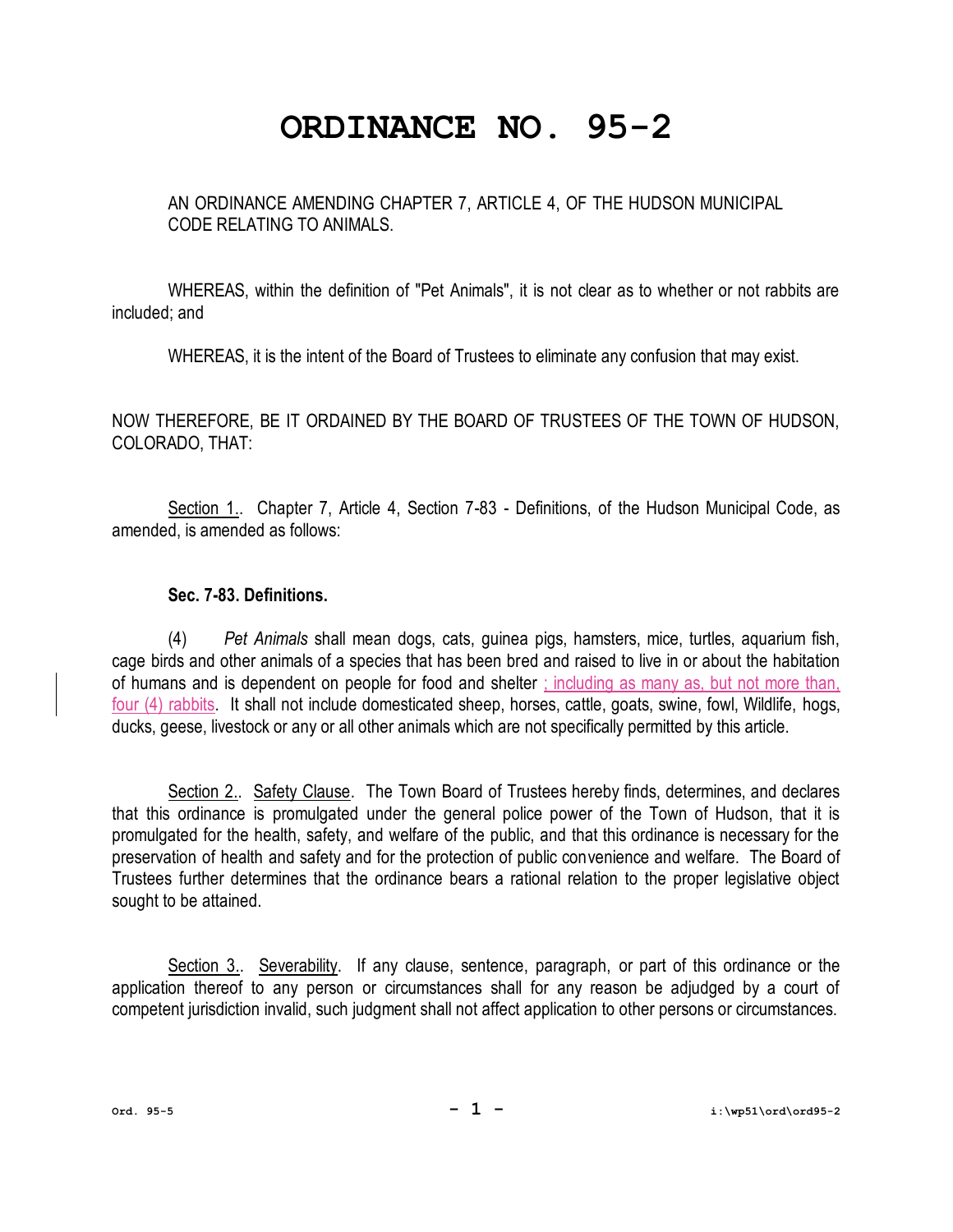## **ORDINANCE NO. 95-2**

AN ORDINANCE AMENDING CHAPTER 7, ARTICLE 4, OF THE HUDSON MUNICIPAL CODE RELATING TO ANIMALS.

WHEREAS, within the definition of "Pet Animals", it is not clear as to whether or not rabbits are included; and

WHEREAS, it is the intent of the Board of Trustees to eliminate any confusion that may exist.

NOW THEREFORE, BE IT ORDAINED BY THE BOARD OF TRUSTEES OF THE TOWN OF HUDSON, COLORADO, THAT:

Section 1.. Chapter 7, Article 4, Section 7-83 - Definitions, of the Hudson Municipal Code, as amended, is amended as follows:

## **Sec. 7-83. Definitions.**

(4) *Pet Animals* shall mean dogs, cats, guinea pigs, hamsters, mice, turtles, aquarium fish, cage birds and other animals of a species that has been bred and raised to live in or about the habitation of humans and is dependent on people for food and shelter ; including as many as, but not more than, four (4) rabbits. It shall not include domesticated sheep, horses, cattle, goats, swine, fowl, Wildlife, hogs, ducks, geese, livestock or any or all other animals which are not specifically permitted by this article.

Section 2.. Safety Clause. The Town Board of Trustees hereby finds, determines, and declares that this ordinance is promulgated under the general police power of the Town of Hudson, that it is promulgated for the health, safety, and welfare of the public, and that this ordinance is necessary for the preservation of health and safety and for the protection of public convenience and welfare. The Board of Trustees further determines that the ordinance bears a rational relation to the proper legislative object sought to be attained.

Section 3.. Severability. If any clause, sentence, paragraph, or part of this ordinance or the application thereof to any person or circumstances shall for any reason be adjudged by a court of competent jurisdiction invalid, such judgment shall not affect application to other persons or circumstances.